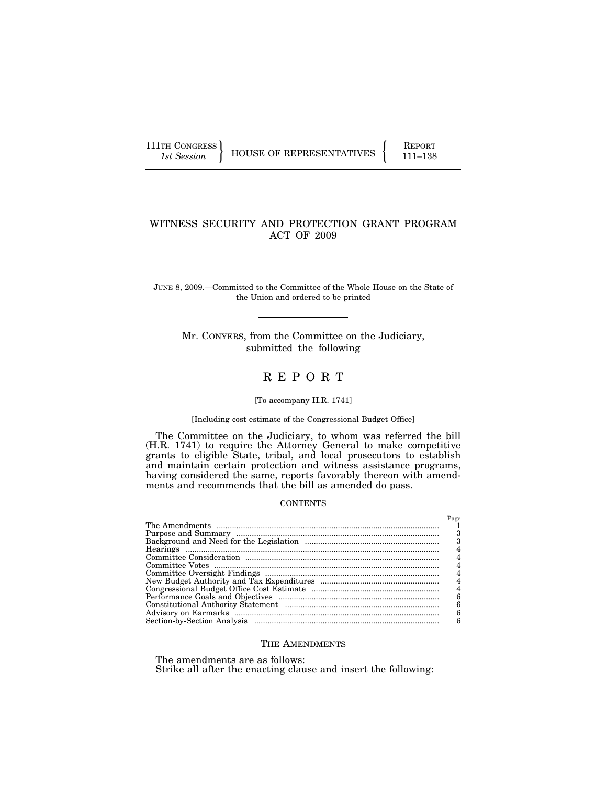111TH CONGRESS HOUSE OF REPRESENTATIVES FEPORT 111-138

# WITNESS SECURITY AND PROTECTION GRANT PROGRAM ACT OF 2009

JUNE 8, 2009.—Committed to the Committee of the Whole House on the State of the Union and ordered to be printed

Mr. CONYERS, from the Committee on the Judiciary, submitted the following

# R E P O R T

#### [To accompany H.R. 1741]

## [Including cost estimate of the Congressional Budget Office]

The Committee on the Judiciary, to whom was referred the bill (H.R. 1741) to require the Attorney General to make competitive grants to eligible State, tribal, and local prosecutors to establish and maintain certain protection and witness assistance programs, having considered the same, reports favorably thereon with amendments and recommends that the bill as amended do pass.

## **CONTENTS**

| $P_9$ ore |
|-----------|
|           |
|           |
|           |
|           |
|           |
|           |
|           |
| Λ         |
|           |
| 6         |
|           |
|           |
|           |

## THE AMENDMENTS

The amendments are as follows:

Strike all after the enacting clause and insert the following: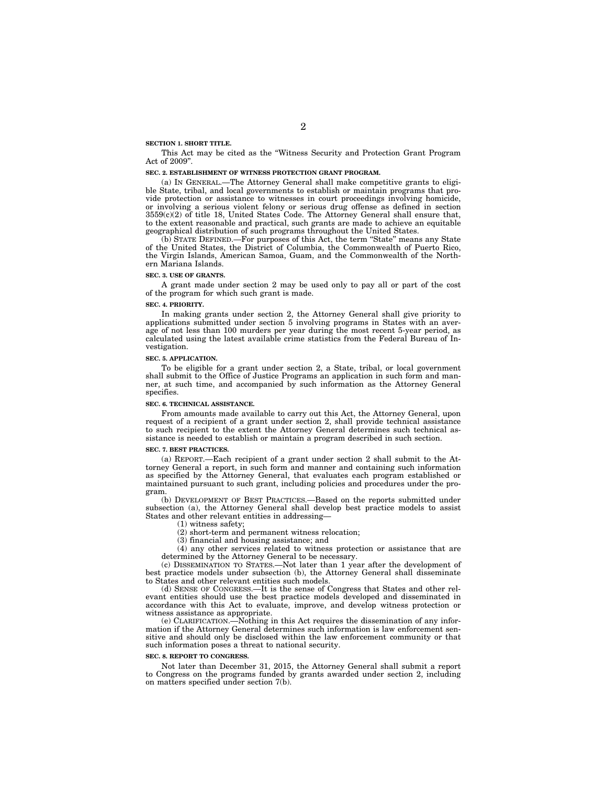#### **SECTION 1. SHORT TITLE.**

This Act may be cited as the ''Witness Security and Protection Grant Program Act of 2009''.

#### **SEC. 2. ESTABLISHMENT OF WITNESS PROTECTION GRANT PROGRAM.**

(a) IN GENERAL.—The Attorney General shall make competitive grants to eligible State, tribal, and local governments to establish or maintain programs that provide protection or assistance to witnesses in court proceedings involving homicide, or involving a serious violent felony or serious drug offense as defined in section  $3559(c)(2)$  of title 18, United States Code. The Attorney General shall ensure that, to the extent reasonable and practical, such grants are made to achieve an equitable geographical distribution of such programs throughout the United States.

(b) STATE DEFINED.—For purposes of this Act, the term ''State'' means any State of the United States, the District of Columbia, the Commonwealth of Puerto Rico, the Virgin Islands, American Samoa, Guam, and the Commonwealth of the Northern Mariana Islands.

#### **SEC. 3. USE OF GRANTS.**

A grant made under section 2 may be used only to pay all or part of the cost of the program for which such grant is made.

#### **SEC. 4. PRIORITY.**

In making grants under section 2, the Attorney General shall give priority to applications submitted under section 5 involving programs in States with an average of not less than 100 murders per year during the most recent 5-year period, as calculated using the latest available crime statistics from the Federal Bureau of Investigation.

#### **SEC. 5. APPLICATION.**

To be eligible for a grant under section 2, a State, tribal, or local government shall submit to the Office of Justice Programs an application in such form and manner, at such time, and accompanied by such information as the Attorney General specifies.

#### **SEC. 6. TECHNICAL ASSISTANCE.**

From amounts made available to carry out this Act, the Attorney General, upon request of a recipient of a grant under section 2, shall provide technical assistance to such recipient to the extent the Attorney General determines such technical assistance is needed to establish or maintain a program described in such section.

#### **SEC. 7. BEST PRACTICES.**

(a) REPORT.—Each recipient of a grant under section 2 shall submit to the Attorney General a report, in such form and manner and containing such information as specified by the Attorney General, that evaluates each program established or maintained pursuant to such grant, including policies and procedures under the program.

(b) DEVELOPMENT OF BEST PRACTICES.—Based on the reports submitted under subsection (a), the Attorney General shall develop best practice models to assist States and other relevant entities in addressing-

(1) witness safety;

(2) short-term and permanent witness relocation;

(3) financial and housing assistance; and

(4) any other services related to witness protection or assistance that are determined by the Attorney General to be necessary.

(c) DISSEMINATION TO STATES.—Not later than 1 year after the development of best practice models under subsection (b), the Attorney General shall disseminate to States and other relevant entities such models.

(d) SENSE OF CONGRESS.—It is the sense of Congress that States and other relevant entities should use the best practice models developed and disseminated in accordance with this Act to evaluate, improve, and develop witness protection or witness assistance as appropriate.

(e) CLARIFICATION.—Nothing in this Act requires the dissemination of any information if the Attorney General determines such information is law enforcement sensitive and should only be disclosed within the law enforcement community or that such information poses a threat to national security.

#### **SEC. 8. REPORT TO CONGRESS.**

Not later than December 31, 2015, the Attorney General shall submit a report to Congress on the programs funded by grants awarded under section 2, including on matters specified under section 7(b).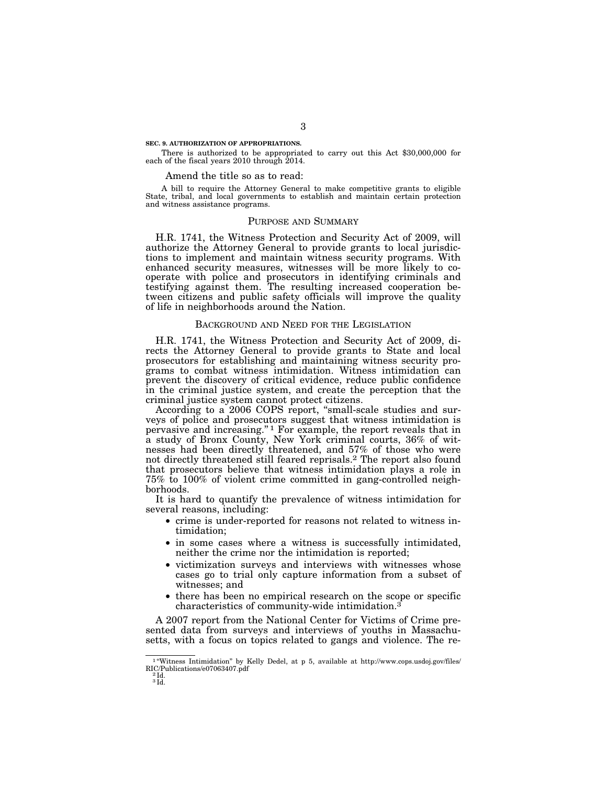#### **SEC. 9. AUTHORIZATION OF APPROPRIATIONS.**

There is authorized to be appropriated to carry out this Act \$30,000,000 for each of the fiscal years 2010 through 2014.

## Amend the title so as to read:

A bill to require the Attorney General to make competitive grants to eligible State, tribal, and local governments to establish and maintain certain protection and witness assistance programs.

## PURPOSE AND SUMMARY

H.R. 1741, the Witness Protection and Security Act of 2009, will authorize the Attorney General to provide grants to local jurisdictions to implement and maintain witness security programs. With enhanced security measures, witnesses will be more likely to cooperate with police and prosecutors in identifying criminals and testifying against them. The resulting increased cooperation between citizens and public safety officials will improve the quality of life in neighborhoods around the Nation.

#### BACKGROUND AND NEED FOR THE LEGISLATION

H.R. 1741, the Witness Protection and Security Act of 2009, directs the Attorney General to provide grants to State and local prosecutors for establishing and maintaining witness security programs to combat witness intimidation. Witness intimidation can prevent the discovery of critical evidence, reduce public confidence in the criminal justice system, and create the perception that the criminal justice system cannot protect citizens.

According to a 2006 COPS report, "small-scale studies and surveys of police and prosecutors suggest that witness intimidation is pervasive and increasing.'' 1 For example, the report reveals that in a study of Bronx County, New York criminal courts, 36% of witnesses had been directly threatened, and 57% of those who were not directly threatened still feared reprisals.2 The report also found that prosecutors believe that witness intimidation plays a role in 75% to 100% of violent crime committed in gang-controlled neighborhoods.

It is hard to quantify the prevalence of witness intimidation for several reasons, including:

- crime is under-reported for reasons not related to witness intimidation;
- in some cases where a witness is successfully intimidated, neither the crime nor the intimidation is reported;
- victimization surveys and interviews with witnesses whose cases go to trial only capture information from a subset of witnesses; and
- there has been no empirical research on the scope or specific characteristics of community-wide intimidation.3

A 2007 report from the National Center for Victims of Crime presented data from surveys and interviews of youths in Massachusetts, with a focus on topics related to gangs and violence. The re-

<sup>&</sup>lt;sup>1</sup> "Witness Intimidation" by Kelly Dedel, at p 5, available at http://www.cops.usdoj.gov/files/ RIC/Publications/e07063407.pdf<br>
<sup>2</sup> Id.<br>
<sup>3</sup> Id.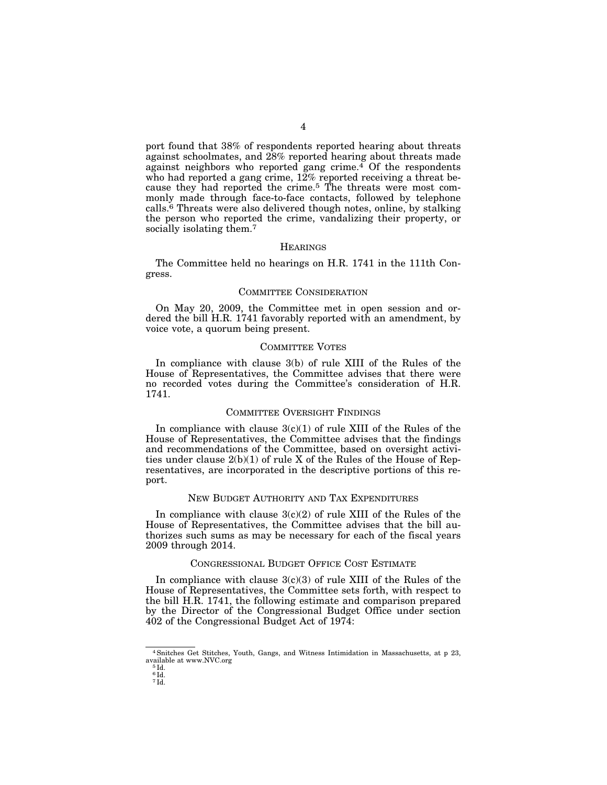port found that 38% of respondents reported hearing about threats against schoolmates, and 28% reported hearing about threats made against neighbors who reported gang crime. $\frac{4}{3}$  Of the respondents who had reported a gang crime, 12% reported receiving a threat because they had reported the crime.5 The threats were most commonly made through face-to-face contacts, followed by telephone calls.6 Threats were also delivered though notes, online, by stalking the person who reported the crime, vandalizing their property, or socially isolating them.<sup>7</sup>

#### **HEARINGS**

The Committee held no hearings on H.R. 1741 in the 111th Congress.

#### COMMITTEE CONSIDERATION

On May 20, 2009, the Committee met in open session and ordered the bill H.R. 1741 favorably reported with an amendment, by voice vote, a quorum being present.

#### COMMITTEE VOTES

In compliance with clause 3(b) of rule XIII of the Rules of the House of Representatives, the Committee advises that there were no recorded votes during the Committee's consideration of H.R. 1741.

## COMMITTEE OVERSIGHT FINDINGS

In compliance with clause  $3(c)(1)$  of rule XIII of the Rules of the House of Representatives, the Committee advises that the findings and recommendations of the Committee, based on oversight activities under clause  $2(b)(1)$  of rule X of the Rules of the House of Representatives, are incorporated in the descriptive portions of this report.

## NEW BUDGET AUTHORITY AND TAX EXPENDITURES

In compliance with clause  $3(c)(2)$  of rule XIII of the Rules of the House of Representatives, the Committee advises that the bill authorizes such sums as may be necessary for each of the fiscal years 2009 through 2014.

#### CONGRESSIONAL BUDGET OFFICE COST ESTIMATE

In compliance with clause  $3(c)(3)$  of rule XIII of the Rules of the House of Representatives, the Committee sets forth, with respect to the bill H.R. 1741, the following estimate and comparison prepared by the Director of the Congressional Budget Office under section 402 of the Congressional Budget Act of 1974:

<sup>4</sup>Snitches Get Stitches, Youth, Gangs, and Witness Intimidation in Massachusetts, at p 23, available at www.NVC.org 5 Id.

 $6\bar{1d}$ .

<sup>7</sup> Id.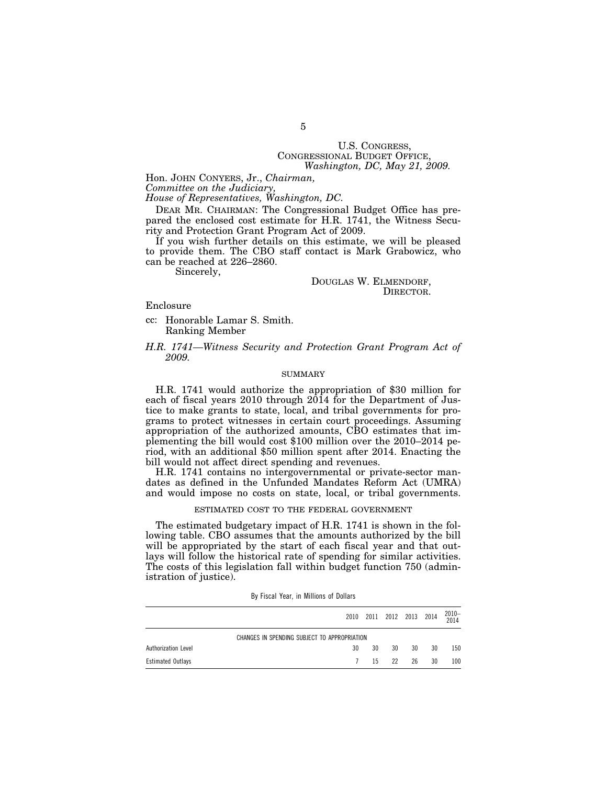# U.S. CONGRESS, CONGRESSIONAL BUDGET OFFICE, *Washington, DC, May 21, 2009.*

Hon. JOHN CONYERS, Jr., *Chairman,* 

*Committee on the Judiciary,* 

*House of Representatives, Washington, DC.* 

DEAR MR. CHAIRMAN: The Congressional Budget Office has prepared the enclosed cost estimate for H.R. 1741, the Witness Security and Protection Grant Program Act of 2009.

If you wish further details on this estimate, we will be pleased to provide them. The CBO staff contact is Mark Grabowicz, who can be reached at 226–2860.

Sincerely,

DOUGLAS W. ELMENDORF, DIRECTOR.

Enclosure

cc: Honorable Lamar S. Smith. Ranking Member

*H.R. 1741—Witness Security and Protection Grant Program Act of 2009.* 

#### SUMMARY

H.R. 1741 would authorize the appropriation of \$30 million for each of fiscal years 2010 through 2014 for the Department of Justice to make grants to state, local, and tribal governments for programs to protect witnesses in certain court proceedings. Assuming appropriation of the authorized amounts, CBO estimates that implementing the bill would cost \$100 million over the 2010–2014 period, with an additional \$50 million spent after 2014. Enacting the bill would not affect direct spending and revenues.

H.R. 1741 contains no intergovernmental or private-sector mandates as defined in the Unfunded Mandates Reform Act (UMRA) and would impose no costs on state, local, or tribal governments.

#### ESTIMATED COST TO THE FEDERAL GOVERNMENT

The estimated budgetary impact of H.R. 1741 is shown in the following table. CBO assumes that the amounts authorized by the bill will be appropriated by the start of each fiscal year and that outlays will follow the historical rate of spending for similar activities. The costs of this legislation fall within budget function 750 (administration of justice).

|                                              | 2010 |    |    | 2011 2012 2013 2014 |    | 2010-<br>2014    |  |
|----------------------------------------------|------|----|----|---------------------|----|------------------|--|
| CHANGES IN SPENDING SUBJECT TO APPROPRIATION |      |    |    |                     |    |                  |  |
| Authorization Level                          | 30   | 30 | 30 | 30                  | 30 | 150              |  |
| <b>Estimated Outlays</b>                     |      | 15 | 22 | 26                  | 30 | 100 <sup>°</sup> |  |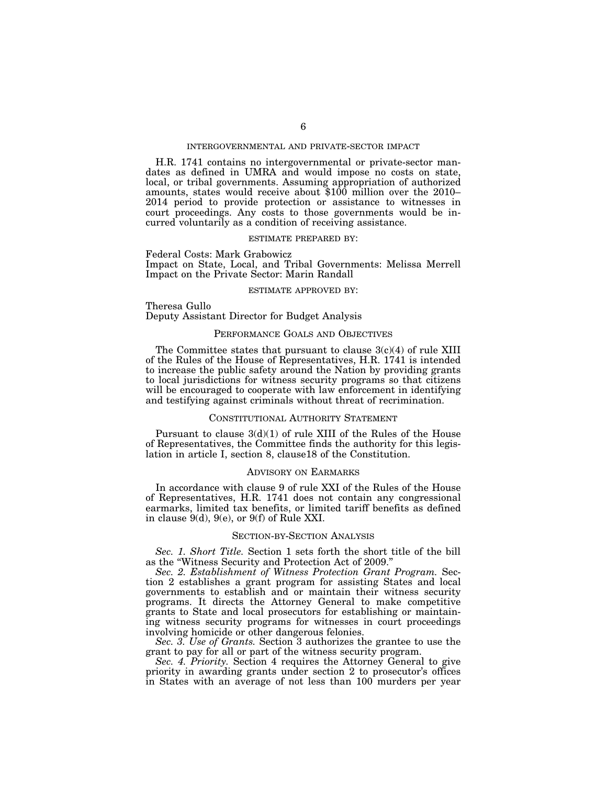## INTERGOVERNMENTAL AND PRIVATE-SECTOR IMPACT

H.R. 1741 contains no intergovernmental or private-sector mandates as defined in UMRA and would impose no costs on state, local, or tribal governments. Assuming appropriation of authorized amounts, states would receive about \$100 million over the 2010– 2014 period to provide protection or assistance to witnesses in court proceedings. Any costs to those governments would be incurred voluntarily as a condition of receiving assistance.

#### ESTIMATE PREPARED BY:

Federal Costs: Mark Grabowicz Impact on State, Local, and Tribal Governments: Melissa Merrell Impact on the Private Sector: Marin Randall

#### ESTIMATE APPROVED BY:

Theresa Gullo Deputy Assistant Director for Budget Analysis

## PERFORMANCE GOALS AND OBJECTIVES

The Committee states that pursuant to clause  $3(c)(4)$  of rule XIII of the Rules of the House of Representatives, H.R. 1741 is intended to increase the public safety around the Nation by providing grants to local jurisdictions for witness security programs so that citizens will be encouraged to cooperate with law enforcement in identifying and testifying against criminals without threat of recrimination.

#### CONSTITUTIONAL AUTHORITY STATEMENT

Pursuant to clause  $3(d)(1)$  of rule XIII of the Rules of the House of Representatives, the Committee finds the authority for this legislation in article I, section 8, clause18 of the Constitution.

## ADVISORY ON EARMARKS

In accordance with clause 9 of rule XXI of the Rules of the House of Representatives, H.R. 1741 does not contain any congressional earmarks, limited tax benefits, or limited tariff benefits as defined in clause  $9(d)$ ,  $9(e)$ , or  $9(f)$  of Rule XXI.

#### SECTION-BY-SECTION ANALYSIS

*Sec. 1. Short Title.* Section 1 sets forth the short title of the bill as the ''Witness Security and Protection Act of 2009.''

*Sec. 2. Establishment of Witness Protection Grant Program.* Section 2 establishes a grant program for assisting States and local governments to establish and or maintain their witness security programs. It directs the Attorney General to make competitive grants to State and local prosecutors for establishing or maintaining witness security programs for witnesses in court proceedings involving homicide or other dangerous felonies.

*Sec. 3. Use of Grants.* Section 3 authorizes the grantee to use the grant to pay for all or part of the witness security program.

*Sec. 4. Priority.* Section 4 requires the Attorney General to give priority in awarding grants under section 2 to prosecutor's offices in States with an average of not less than 100 murders per year